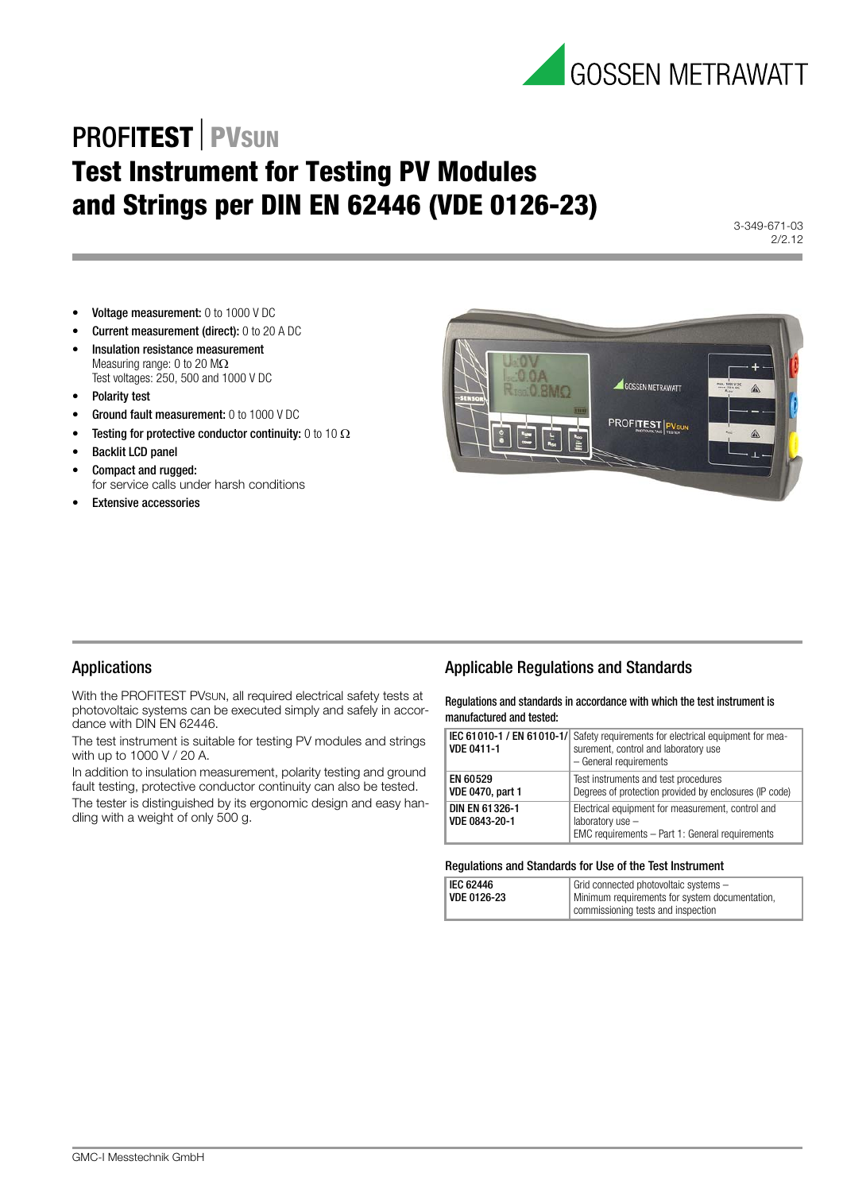

## **PROFITEST** PVSUN **Test Instrument for Testing PV Modules and Strings per DIN EN 62446 (VDE 0126-23)**

3-349-671-03 2/2.12

- Voltage measurement: 0 to 1000 V DC
- Current measurement (direct): 0 to 20 A DC
- Insulation resistance measurement Measuring range: 0 to 20  $\text{M}\Omega$ Test voltages: 250, 500 and 1000 V DC
- Polarity test
- Ground fault measurement: 0 to 1000 V DC
- Testing for protective conductor continuity: 0 to 10  $\Omega$
- Backlit LCD panel
- Compact and rugged: for service calls under harsh conditions
- **Extensive accessories**



#### Applications

With the PROFITEST PVSUN, all required electrical safety tests at photovoltaic systems can be executed simply and safely in accordance with DIN EN 62446.

The test instrument is suitable for testing PV modules and strings with up to 1000 V / 20 A.

In addition to insulation measurement, polarity testing and ground fault testing, protective conductor continuity can also be tested. The tester is distinguished by its ergonomic design and easy handling with a weight of only 500 g.

#### Applicable Regulations and Standards

Regulations and standards in accordance with which the test instrument is manufactured and tested:

| <b>VDE 0411-1</b>                   | IEC 61010-1 / EN 61010-1/ Safety requirements for electrical equipment for mea-<br>surement, control and laboratory use<br>- General requirements |
|-------------------------------------|---------------------------------------------------------------------------------------------------------------------------------------------------|
| EN 60529<br><b>VDE 0470, part 1</b> | Test instruments and test procedures<br>Degrees of protection provided by enclosures (IP code)                                                    |
| DIN EN 61326-1<br>VDE 0843-20-1     | Electrical equipment for measurement, control and<br>laboratory use -<br>EMC requirements - Part 1: General requirements                          |

#### Regulations and Standards for Use of the Test Instrument

| <b>IEC 62446</b> | Grid connected photovoltaic systems -          |  |
|------------------|------------------------------------------------|--|
| VDE 0126-23      | Minimum requirements for system documentation, |  |
|                  | commissioning tests and inspection             |  |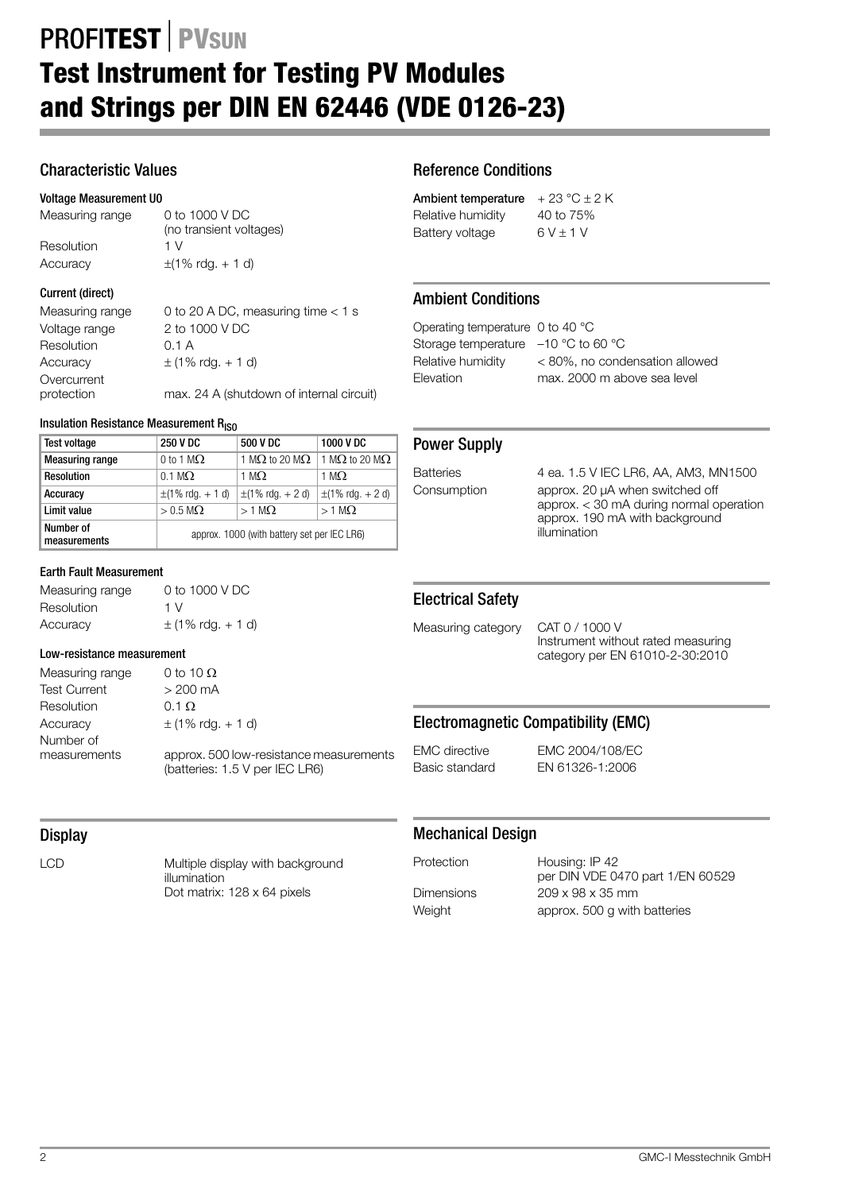## **PROFITEST** PVSUN **Test Instrument for Testing PV Modules and Strings per DIN EN 62446 (VDE 0126-23)**

## Characteristic Values

#### Voltage Measurement U0

Measuring range 0 to 1000 V DC (no transient voltages) Resolution 1 V Accuracy  $\pm(1\% \text{ rda.} + 1 \text{ d})$ 

#### Current (direct)

Measuring range  $0$  to 20 A DC, measuring time  $< 1$  s Voltage range 2 to 1000 V DC Resolution 0.1 A Accuracy  $\pm (1\% \text{ rdg.} + 1 \text{ d})$ Overcurrent<br>protection max. 24 A (shutdown of internal circuit)

#### Insulation Resistance Measurement  $R_{ISO}$

| <b>Test voltage</b>       | <b>250 V DC</b>                             | 500 V DC                      | 1000 V DC                     |
|---------------------------|---------------------------------------------|-------------------------------|-------------------------------|
| <b>Measuring range</b>    | 0 to 1 M $\Omega$                           | 1 M $\Omega$ to 20 M $\Omega$ | 1 M $\Omega$ to 20 M $\Omega$ |
| <b>Resolution</b>         | $0.1 \text{ M}\Omega$                       | 1 M.O.                        | 1 M $\Omega$                  |
| Accuracy                  | $\pm$ (1% rdg. + 1 d)                       | $\pm$ (1% rdg. + 2 d)         | $\pm$ (1% rdg. + 2 d)         |
| Limit value               | $> 0.5$ M $\Omega$                          | $>1$ M $\Omega$               | $>1$ M $\Omega$               |
| Number of<br>measurements | approx. 1000 (with battery set per IEC LR6) |                               |                               |

#### Earth Fault Measurement

Measuring range 0 to 1000 V DC Resolution 1 V  $\text{Accuracy}$   $\pm (1\% \text{ rdq.} + 1 \text{ d})$ 

#### Low-resistance measurement

Measuring range  $0$  to 10  $\Omega$ Test Current > 200 mA Resolution 0.1  $\Omega$ Accuracy  $\pm$  (1% rdg. + 1 d) Number of<br>measurements approx. 500 low-resistance measurements (batteries: 1.5 V per IEC LR6)

## Reference Conditions

| Ambient temperature | $+23 °C \pm 2 K$ |
|---------------------|------------------|
| Relative humidity   | 40 to 75%        |
| Battery voltage     | $6V \pm 1V$      |

## Ambient Conditions

Operating temperature 0 to 40 °C Storage temperature –10 °C to 60 °C

Relative humidity < 80%, no condensation allowed Elevation max. 2000 m above sea level

#### Power Supply

Batteries 4 ea. 1.5 V IEC LR6, AA, AM3, MN1500 Consumption approx. 20 μA when switched off approx. < 30 mA during normal operation approx. 190 mA with background illumination

#### Electrical Safety

Measuring category CAT 0 / 1000 V

Instrument without rated measuring category per EN 61010-2-30:2010

### Electromagnetic Compatibility (EMC)

EMC directive EMC 2004/108/EC Basic standard EN 61326-1:2006

## **Display**

LCD Multiple display with background illumination Dot matrix: 128 x 64 pixels

#### Mechanical Design

Protection Housing: IP 42 per DIN VDE 0470 part 1/EN 60529 Dimensions 209 x 98 x 35 mm Weight **approx.** 500 g with batteries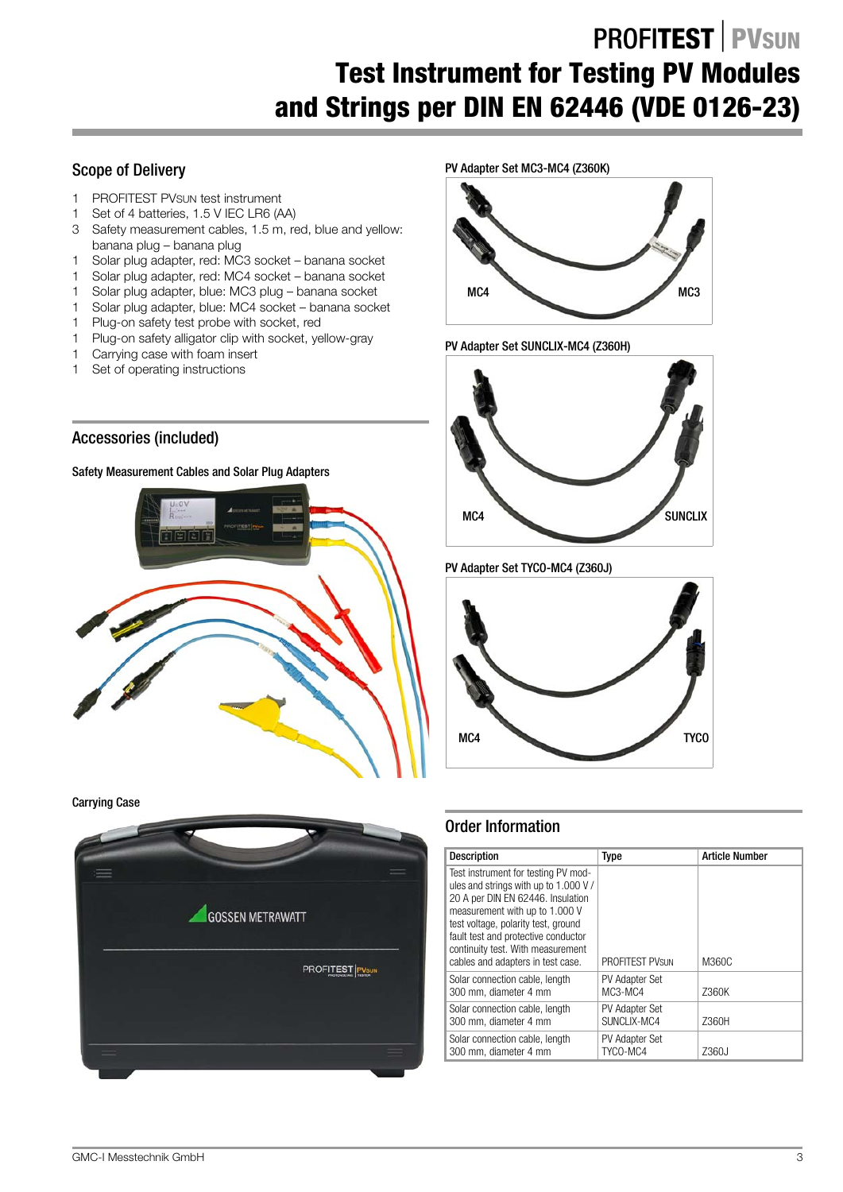## **PROFITEST PVSUN Test Instrument for Testing PV Modules and Strings per DIN EN 62446 (VDE 0126-23)**

## Scope of Delivery

- 1 PROFITEST PVSUN test instrument
- 1 Set of 4 batteries, 1.5 V IEC LR6 (AA)
- 3 Safety measurement cables, 1.5 m, red, blue and yellow: banana plug – banana plug
- 1 Solar plug adapter, red: MC3 socket banana socket
- 1 Solar plug adapter, red: MC4 socket banana socket
- 1 Solar plug adapter, blue: MC3 plug banana socket
- 1 Solar plug adapter, blue: MC4 socket banana socket
- 1 Plug-on safety test probe with socket, red
- 1 Plug-on safety alligator clip with socket, yellow-gray
- 1 Carrying case with foam insert
- 1 Set of operating instructions

## Accessories (included)

Safety Measurement Cables and Solar Plug Adapters



Carrying Case





PV Adapter Set SUNCLIX-MC4 (Z360H)



PV Adapter Set TYCO-MC4 (Z360J)



### Order Information

| <b>Description</b>                                                                                                                                                                                                                                                                                         | Type                          | <b>Article Number</b> |
|------------------------------------------------------------------------------------------------------------------------------------------------------------------------------------------------------------------------------------------------------------------------------------------------------------|-------------------------------|-----------------------|
| Test instrument for testing PV mod-<br>ules and strings with up to 1.000 V/<br>20 A per DIN EN 62446. Insulation<br>measurement with up to 1,000 V<br>test voltage, polarity test, ground<br>fault test and protective conductor<br>continuity test. With measurement<br>cables and adapters in test case. | <b>PROFITEST PVSUN</b>        | M360C                 |
| Solar connection cable, length<br>300 mm. diameter 4 mm                                                                                                                                                                                                                                                    | PV Adapter Set<br>MC3-MC4     | Z360K                 |
| Solar connection cable, length<br>300 mm, diameter 4 mm                                                                                                                                                                                                                                                    | PV Adapter Set<br>SUNCLIX-MC4 | Z360H                 |
| Solar connection cable, length<br>300 mm. diameter 4 mm                                                                                                                                                                                                                                                    | PV Adapter Set<br>TYCO-MC4    | Z360J                 |